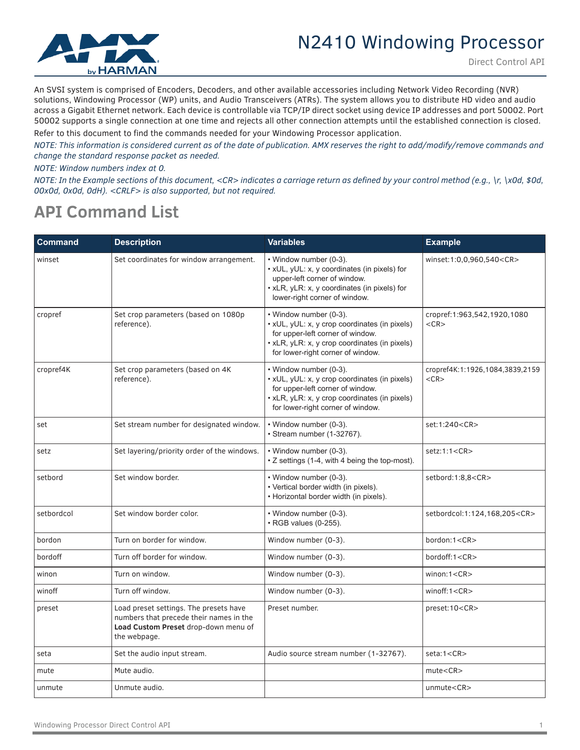

An SVSI system is comprised of Encoders, Decoders, and other available accessories including Network Video Recording (NVR) solutions, Windowing Processor (WP) units, and Audio Transceivers (ATRs). The system allows you to distribute HD video and audio across a Gigabit Ethernet network. Each device is controllable via TCP/IP direct socket using device IP addresses and port 50002. Port 50002 supports a single connection at one time and rejects all other connection attempts until the established connection is closed. Refer to this document to find the commands needed for your Windowing Processor application.

*NOTE: This information is considered current as of the date of publication. AMX reserves the right to add/modify/remove commands and* 

*change the standard response packet as needed. NOTE: Window numbers index at 0.*

*NOTE: In the Example sections of this document, <CR> indicates a carriage return as defined by your control method (e.g., \r, \x0d, \$0d, 00x0d, 0x0d, 0dH). <CRLF> is also supported, but not required.*

## **API Command List**

| <b>Command</b> | <b>Description</b>                                                                                                                        | <b>Variables</b>                                                                                                                                                                                  | <b>Example</b>                                |
|----------------|-------------------------------------------------------------------------------------------------------------------------------------------|---------------------------------------------------------------------------------------------------------------------------------------------------------------------------------------------------|-----------------------------------------------|
| winset         | Set coordinates for window arrangement.                                                                                                   | • Window number (0-3).<br>. xUL, yUL: x, y coordinates (in pixels) for<br>upper-left corner of window.<br>• xLR, yLR: x, y coordinates (in pixels) for<br>lower-right corner of window.           | winset:1:0,0,960,540 <cr></cr>                |
| cropref        | Set crop parameters (based on 1080p<br>reference).                                                                                        | • Window number (0-3).<br>· xUL, yUL: x, y crop coordinates (in pixels)<br>for upper-left corner of window.<br>• xLR, yLR: x, y crop coordinates (in pixels)<br>for lower-right corner of window. | cropref:1:963,542,1920,1080<br>$<$ CR $>$     |
| cropref4K      | Set crop parameters (based on 4K<br>reference).                                                                                           | • Window number (0-3).<br>• xUL, yUL: x, y crop coordinates (in pixels)<br>for upper-left corner of window.<br>• xLR, yLR: x, y crop coordinates (in pixels)<br>for lower-right corner of window. | cropref4K:1:1926,1084,3839,2159<br>$<$ CR $>$ |
| set            | Set stream number for designated window.                                                                                                  | • Window number (0-3).<br>• Stream number (1-32767).                                                                                                                                              | set:1:240 <cr></cr>                           |
| setz           | Set layering/priority order of the windows.                                                                                               | • Window number (0-3).<br>• Z settings (1-4, with 4 being the top-most).                                                                                                                          | setz:1:1 <cr></cr>                            |
| setbord        | Set window border.                                                                                                                        | • Window number (0-3).<br>• Vertical border width (in pixels).<br>• Horizontal border width (in pixels).                                                                                          | setbord:1:8,8 <cr></cr>                       |
| setbordcol     | Set window border color.                                                                                                                  | • Window number (0-3).<br>• RGB values (0-255).                                                                                                                                                   | setbordcol:1:124,168,205 <cr></cr>            |
| bordon         | Turn on border for window.                                                                                                                | Window number (0-3).                                                                                                                                                                              | bordon:1 <cr></cr>                            |
| bordoff        | Turn off border for window.                                                                                                               | Window number (0-3).                                                                                                                                                                              | bordoff:1 <cr></cr>                           |
| winon          | Turn on window.                                                                                                                           | Window number (0-3).                                                                                                                                                                              | winon: $1 < CR$                               |
| winoff         | Turn off window.                                                                                                                          | Window number (0-3).                                                                                                                                                                              | winoff:1 < CR                                 |
| preset         | Load preset settings. The presets have<br>numbers that precede their names in the<br>Load Custom Preset drop-down menu of<br>the webpage. | Preset number.                                                                                                                                                                                    | preset:10 <cr></cr>                           |
| seta           | Set the audio input stream.                                                                                                               | Audio source stream number (1-32767).                                                                                                                                                             | seta:1 < CR                                   |
| mute           | Mute audio.                                                                                                                               |                                                                                                                                                                                                   | mute < CR                                     |
| unmute         | Unmute audio.                                                                                                                             |                                                                                                                                                                                                   | unmute <cr></cr>                              |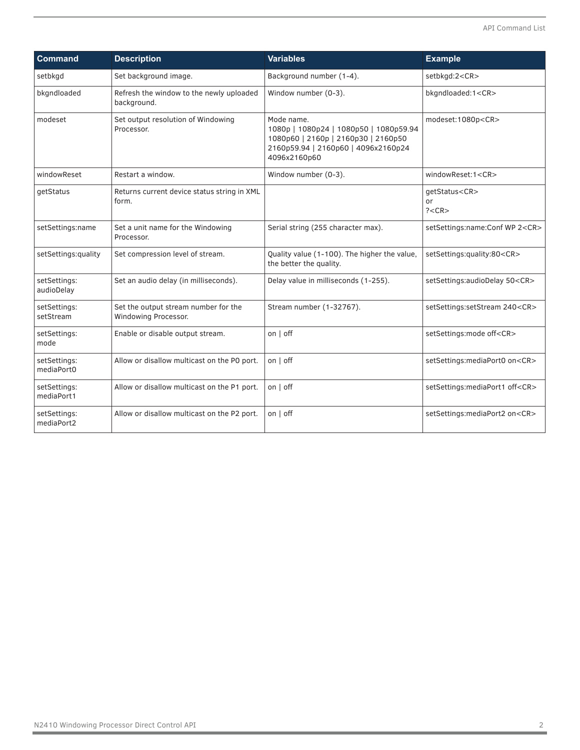| <b>Command</b>             | <b>Description</b>                                           | <b>Variables</b>                                                                                                                                   | <b>Example</b>                           |  |  |
|----------------------------|--------------------------------------------------------------|----------------------------------------------------------------------------------------------------------------------------------------------------|------------------------------------------|--|--|
| setbkgd                    | Set background image.                                        | Background number (1-4).                                                                                                                           | setbkgd:2 <cr></cr>                      |  |  |
| bkgndloaded                | Refresh the window to the newly uploaded<br>background.      | Window number (0-3).                                                                                                                               | bkgndloaded:1 <cr></cr>                  |  |  |
| modeset                    | Set output resolution of Windowing<br>Processor.             | Mode name.<br>1080p   1080p24   1080p50   1080p59.94<br>1080p60   2160p   2160p30   2160p50<br>2160p59.94   2160p60   4096x2160p24<br>4096x2160p60 | modeset:1080p <cr></cr>                  |  |  |
| windowReset                | Restart a window.                                            | Window number (0-3).                                                                                                                               | windowReset:1 <cr></cr>                  |  |  |
| getStatus                  | Returns current device status string in XML<br>form.         |                                                                                                                                                    | qetStatus <cr><br/>or<br/>? &lt; CR</cr> |  |  |
| setSettings:name           | Set a unit name for the Windowing<br>Processor.              | Serial string (255 character max).                                                                                                                 | setSettings:name:Conf WP 2 <cr></cr>     |  |  |
| setSettings:quality        | Set compression level of stream.                             | Quality value (1-100). The higher the value,<br>the better the quality.                                                                            | setSettings:quality:80 <cr></cr>         |  |  |
| setSettings:<br>audioDelay | Set an audio delay (in milliseconds).                        | Delay value in milliseconds (1-255).                                                                                                               | setSettings:audioDelay 50 <cr></cr>      |  |  |
| setSettings:<br>setStream  | Set the output stream number for the<br>Windowing Processor. | Stream number (1-32767).                                                                                                                           | setSettings:setStream 240 <cr></cr>      |  |  |
| setSettings:<br>mode       | Enable or disable output stream.                             | on   off                                                                                                                                           | setSettings:mode off <cr></cr>           |  |  |
| setSettings:<br>mediaPort0 | Allow or disallow multicast on the PO port.                  | on   off                                                                                                                                           | setSettings:mediaPort0 on <cr></cr>      |  |  |
| setSettings:<br>mediaPort1 | Allow or disallow multicast on the P1 port.                  | on   off                                                                                                                                           | setSettings:mediaPort1 off <cr></cr>     |  |  |
| setSettings:<br>mediaPort2 | Allow or disallow multicast on the P2 port.                  | on   off                                                                                                                                           | setSettings:mediaPort2 on <cr></cr>      |  |  |